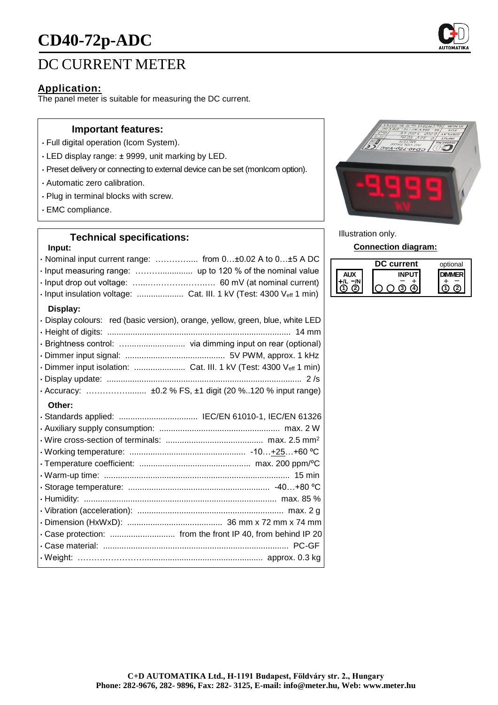# **CD40-72p-ADC**



# **Application:**

The panel meter is suitable for measuring the DC current.

#### **Important features:**

- Full digital operation (Icom System).
- LED display range: ± 9999, unit marking by LED.
- Preset delivery or connecting to external device can be set (monIcom option).
- Automatic zero calibration.
- Plug in terminal blocks with screw.
- EMC compliance.

# **Technical specifications:**

### **Input:**

| · Nominal input current range:  from 0±0.02 A to 0±5 A DC                      |
|--------------------------------------------------------------------------------|
| · Input insulation voltage:  Cat. III. 1 kV (Test: 4300 Veff 1 min)            |
| Display:                                                                       |
| · Display colours: red (basic version), orange, yellow, green, blue, white LED |
|                                                                                |
|                                                                                |
| · Dimmer input isolation:  Cat. III. 1 kV (Test: 4300 Veff 1 min)              |
|                                                                                |
|                                                                                |
| Other:                                                                         |
| · Standards applied:  IEC/EN 61010-1, IEC/EN 61326                             |
|                                                                                |
|                                                                                |
|                                                                                |
|                                                                                |
|                                                                                |
|                                                                                |
|                                                                                |
|                                                                                |
|                                                                                |
| · Case protection:  from the front IP 40, from behind IP 20                    |
|                                                                                |
|                                                                                |



Illustration only.

**Connection diagram:**

| current | optional |
|---------|----------|
|         |          |
|         |          |